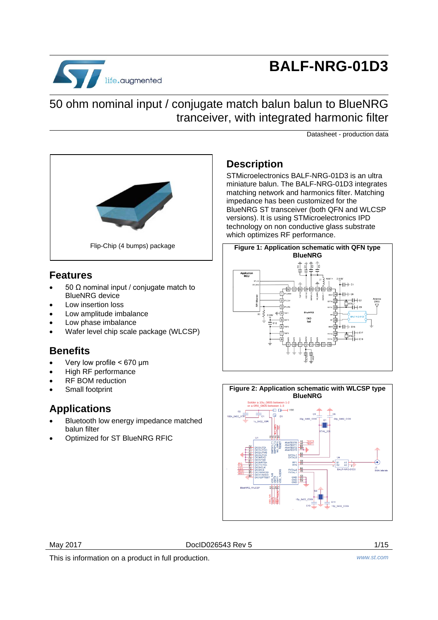

# **BALF-NRG-01D3**

## 50 ohm nominal input / conjugate match balun balun to BlueNRG tranceiver, with integrated harmonic filter

Datasheet - production data



### **Features**

- 50 Ω nominal input / conjugate match to BlueNRG device
- Low insertion loss
- Low amplitude imbalance
- Low phase imbalance
- Wafer level chip scale package (WLCSP)

## **Benefits**

- Very low profile < 670 μm
- High RF performance
- RF BOM reduction
- Small footprint

## **Applications**

- Bluetooth low energy impedance matched balun filter
- Optimized for ST BlueNRG RFIC

## **Description**

STMicroelectronics BALF-NRG-01D3 is an ultra miniature balun. The BALF-NRG-01D3 integrates matching network and harmonics filter. Matching impedance has been customized for the BlueNRG ST transceiver (both QFN and WLCSP versions). It is using STMicroelectronics IPD technology on non conductive glass substrate which optimizes RF performance.



<span id="page-0-0"></span>

May 2017 DocID026543 Rev 5 1/15

This is information on a product in full production. *www.st.com*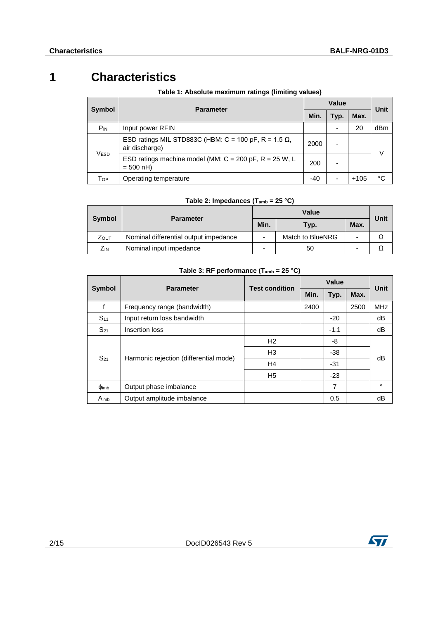## **1 Characteristics**

|                  |                                                                                  | Value     |      |        |             |
|------------------|----------------------------------------------------------------------------------|-----------|------|--------|-------------|
| <b>Symbol</b>    | <b>Parameter</b>                                                                 | Min.      | Typ. | Max.   | <b>Unit</b> |
| $P_{IN}$         | Input power RFIN                                                                 |           |      | 20     | dBm         |
| V <sub>ESD</sub> | ESD ratings MIL STD883C (HBM: C = 100 pF, R = 1.5 $\Omega$ ,<br>air discharge)   | 2000<br>- |      |        | $\vee$      |
|                  | ESD ratings machine model (MM: $C = 200$ pF, $R = 25$ W, L<br>$= 500 \text{ nH}$ | 200       | -    |        |             |
| Тор              | Operating temperature                                                            | -40       |      | $+105$ | °C          |

#### **Table 1: Absolute maximum ratings (limiting values)**

#### **Table 2: Impedances (Tamb = 25 °C)**

| <b>Symbol</b> | <b>Parameter</b>                      | Min. | Typ.             | Max. | Unit |
|---------------|---------------------------------------|------|------------------|------|------|
| ZOUT          | Nominal differential output impedance |      | Match to BlueNRG |      |      |
| Zіn           | Nominal input impedance               |      | 50               |      |      |

#### **Table 3: RF performance (Tamb = 25 °C)**

|                  |                                        | <b>Test condition</b> | Value |        |      | <b>Unit</b> |  |
|------------------|----------------------------------------|-----------------------|-------|--------|------|-------------|--|
| <b>Symbol</b>    | <b>Parameter</b>                       |                       | Min.  | Typ.   | Max. |             |  |
| f                | Frequency range (bandwidth)            |                       | 2400  |        | 2500 | <b>MHz</b>  |  |
| S <sub>11</sub>  | Input return loss bandwidth            |                       |       | $-20$  |      | dB          |  |
| $S_{21}$         | Insertion loss                         |                       |       | $-1.1$ |      | dB          |  |
| $S_{21}$         |                                        | H <sub>2</sub>        |       | -8     |      |             |  |
|                  | Harmonic rejection (differential mode) | H <sub>3</sub>        |       | $-38$  |      |             |  |
|                  |                                        | H4                    |       | $-31$  |      | dB          |  |
|                  |                                        | H <sub>5</sub>        |       | $-23$  |      |             |  |
| $\Phi$ imb       | Output phase imbalance                 |                       |       | 7      |      | $\circ$     |  |
| A <sub>imb</sub> | Output amplitude imbalance             |                       |       | 0.5    |      | dB          |  |

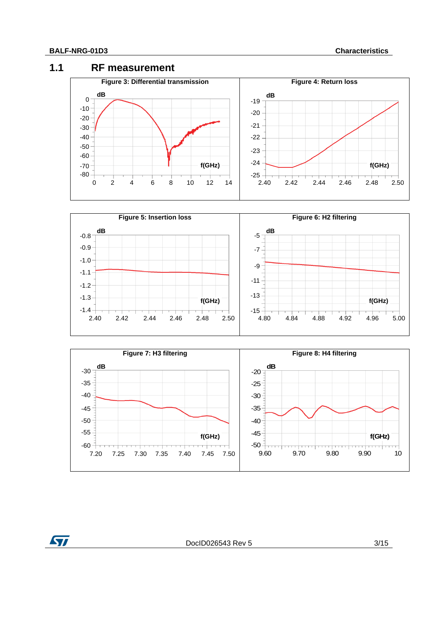#### **1.1 RF measurement**







ST

DocID026543 Rev 5 3/15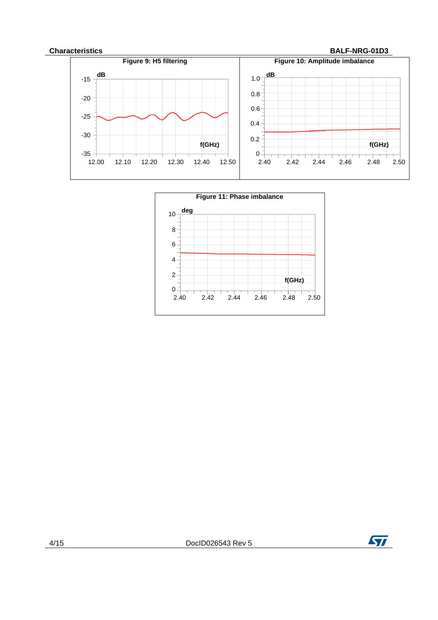#### **Characteristics BALF-NRG-01D3**





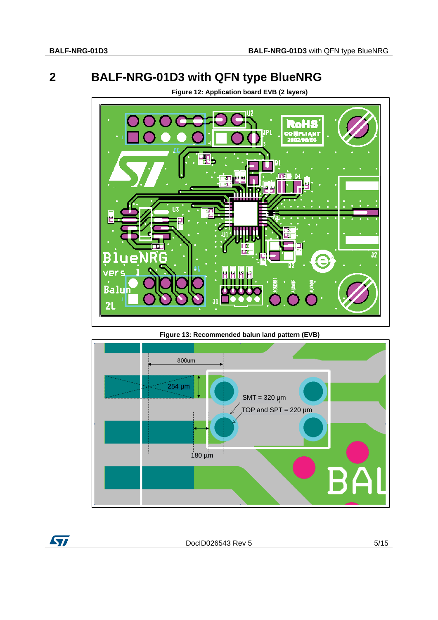## **2 BALF-NRG-01D3 with QFN type BlueNRG**



**Figure 12: Application board EVB (2 layers)**

**Figure 13: Recommended balun land pattern (EVB)**



DocID026543 Rev 5 5/15

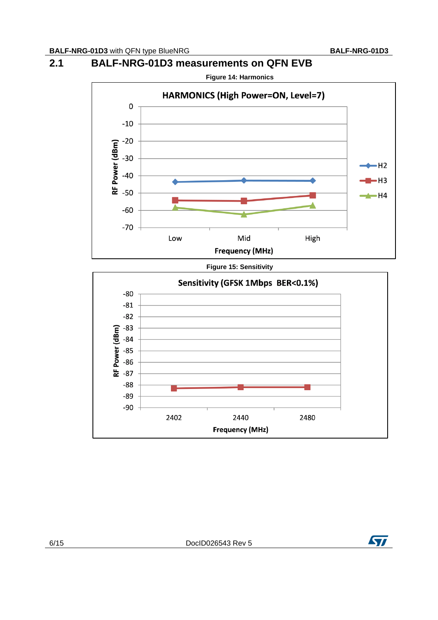### **2.1 BALF-NRG-01D3 measurements on QFN EVB**



**Figure 15: Sensitivity**



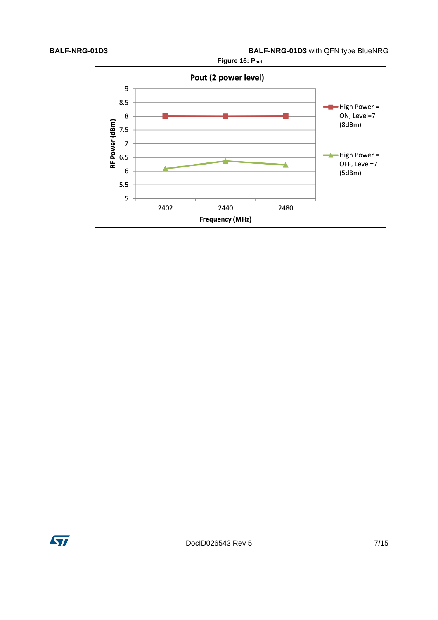

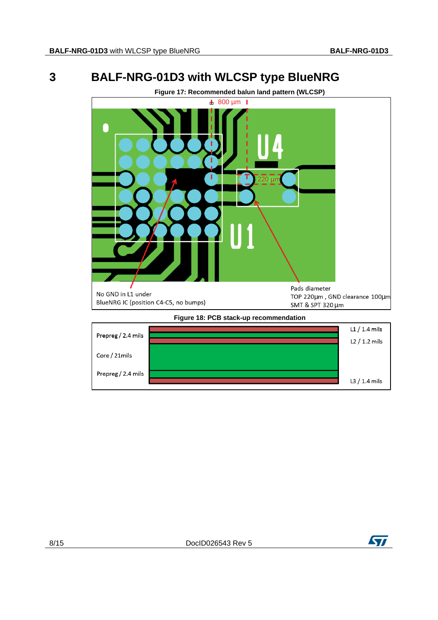## **3 BALF-NRG-01D3 with WLCSP type BlueNRG**



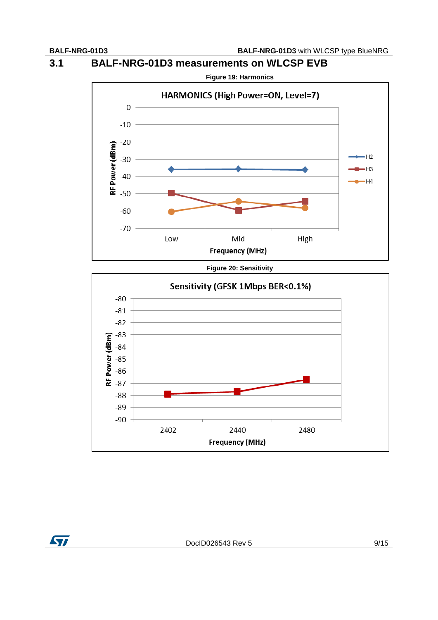**3.1 BALF-NRG-01D3 measurements on WLCSP EVB**



**Figure 20: Sensitivity**



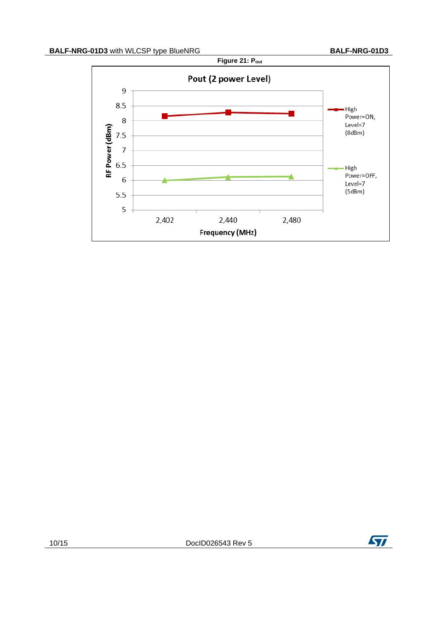

10/15 DocID026543 Rev 5

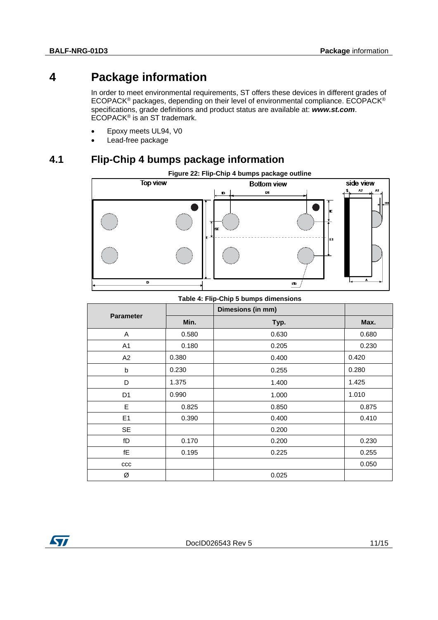## **4 Package information**

In order to meet environmental requirements, ST offers these devices in different grades of ECOPACK® packages, depending on their level of environmental compliance. ECOPACK® specifications, grade definitions and product status are available at: *www.st.com*. ECOPACK® is an ST trademark.

- Epoxy meets UL94, V0
- Lead-free package

## **4.1 Flip-Chip 4 bumps package information**



#### **Table 4: Flip-Chip 5 bumps dimensions**

|                  |       | Dimesions (in mm) |       |
|------------------|-------|-------------------|-------|
| <b>Parameter</b> | Min.  | Typ.              | Max.  |
| A                | 0.580 | 0.630             | 0.680 |
| A1               | 0.180 | 0.205             | 0.230 |
| A2               | 0.380 | 0.400             | 0.420 |
| b                | 0.230 | 0.255             | 0.280 |
| D                | 1.375 | 1.400             | 1.425 |
| D <sub>1</sub>   | 0.990 | 1.000             | 1.010 |
| Е                | 0.825 | 0.850             | 0.875 |
| E <sub>1</sub>   | 0.390 | 0.400             | 0.410 |
| <b>SE</b>        |       | 0.200             |       |
| fD               | 0.170 | 0.200             | 0.230 |
| fE               | 0.195 | 0.225             | 0.255 |
| $_{\rm ccc}$     |       |                   | 0.050 |
| Ø                |       | 0.025             |       |

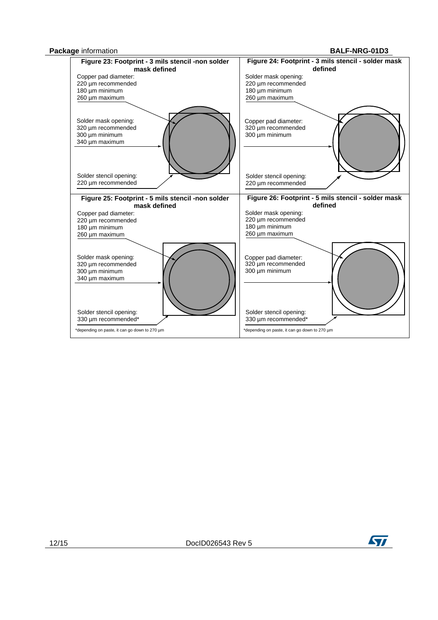



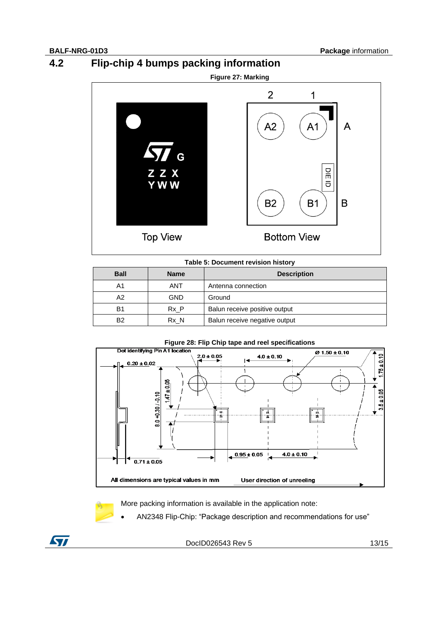**4.2 Flip-chip 4 bumps packing information**





#### **Table 5: Document revision history**

| <b>Ball</b> | <b>Name</b> | <b>Description</b>            |
|-------------|-------------|-------------------------------|
| A1          | ANT         | Antenna connection            |
| A2          | <b>GND</b>  | Ground                        |
| B1          | Rx P        | Balun receive positive output |
| B2          | Rx N        | Balun receive negative output |



#### More packing information is available in the application note:

AN2348 Flip-Chip: "Package description and recommendations for use"



DocID026543 Rev 5 13/15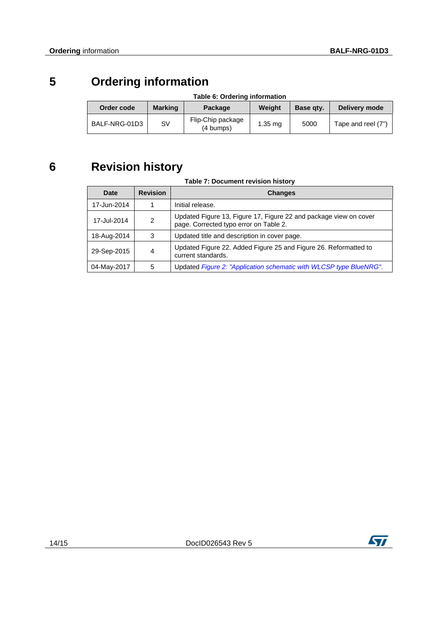# **5 Ordering information**

| Table 6: Ordering information |                |                                |           |           |                    |
|-------------------------------|----------------|--------------------------------|-----------|-----------|--------------------|
| Order code                    | <b>Marking</b> | Package                        | Weiaht    | Base gty. | Delivery mode      |
| BALF-NRG-01D3                 | S٧             | Flip-Chip package<br>(4 bumps) | $1.35$ mg | 5000      | Tape and reel (7") |

# **6 Revision history**

| Date        | <b>Revision</b> | <b>Changes</b>                                                                                              |
|-------------|-----------------|-------------------------------------------------------------------------------------------------------------|
| 17-Jun-2014 |                 | Initial release.                                                                                            |
| 17-Jul-2014 | $\mathcal{P}$   | Updated Figure 13, Figure 17, Figure 22 and package view on cover<br>page. Corrected typo error on Table 2. |
| 18-Aug-2014 | 3               | Updated title and description in cover page.                                                                |
| 29-Sep-2015 | 4               | Updated Figure 22. Added Figure 25 and Figure 26. Reformatted to<br>current standards.                      |
| 04-May-2017 | 5               | Updated Figure 2: "Application schematic with WLCSP type BlueNRG".                                          |

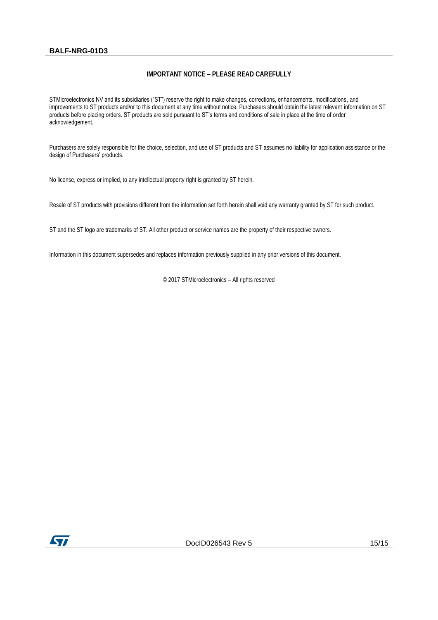#### **BALF-NRG-01D3**

#### **IMPORTANT NOTICE – PLEASE READ CAREFULLY**

STMicroelectronics NV and its subsidiaries ("ST") reserve the right to make changes, corrections, enhancements, modifications, and improvements to ST products and/or to this document at any time without notice. Purchasers should obtain the latest relevant information on ST products before placing orders. ST products are sold pursuant to ST's terms and conditions of sale in place at the time of order acknowledgement.

Purchasers are solely responsible for the choice, selection, and use of ST products and ST assumes no liability for application assistance or the design of Purchasers' products.

No license, express or implied, to any intellectual property right is granted by ST herein.

Resale of ST products with provisions different from the information set forth herein shall void any warranty granted by ST for such product.

ST and the ST logo are trademarks of ST. All other product or service names are the property of their respective owners.

Information in this document supersedes and replaces information previously supplied in any prior versions of this document.

© 2017 STMicroelectronics – All rights reserved